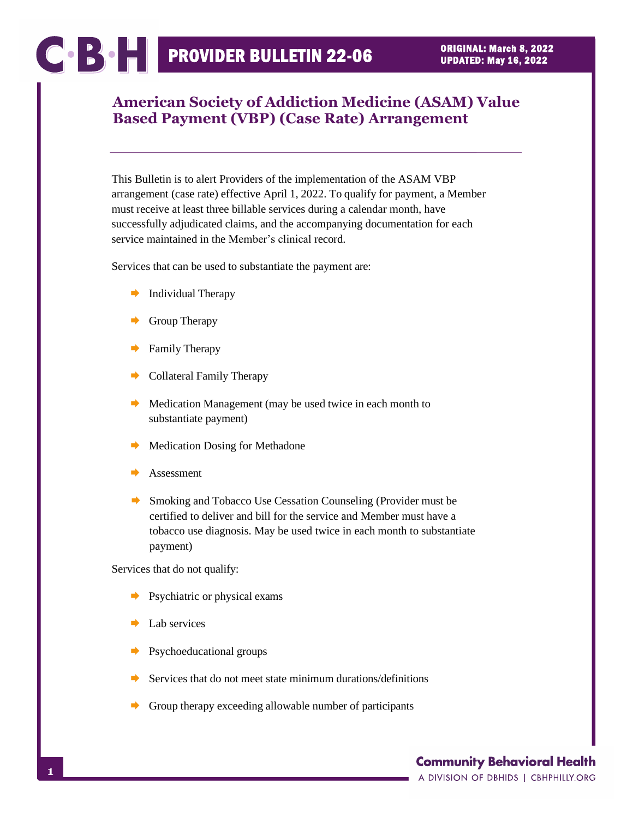# COOPSOLETIN 22-06

## **American Society of Addiction Medicine (ASAM) Value Based Payment (VBP) (Case Rate) Arrangement**

This Bulletin is to alert Providers of the implementation of the ASAM VBP arrangement (case rate) effective April 1, 2022. To qualify for payment, a Member must receive at least three billable services during a calendar month, have successfully adjudicated claims, and the accompanying documentation for each service maintained in the Member's clinical record.

Services that can be used to substantiate the payment are:

- $\rightarrow$  Individual Therapy
- Group Therapy
- Family Therapy
- Collateral Family Therapy
- $\rightarrow$  Medication Management (may be used twice in each month to substantiate payment)
- Medication Dosing for Methadone
- Assessment
- Smoking and Tobacco Use Cessation Counseling (Provider must be certified to deliver and bill for the service and Member must have a tobacco use diagnosis. May be used twice in each month to substantiate payment)

Services that do not qualify:

- $\rightarrow$  Psychiatric or physical exams
- Lab services
- Psychoeducational groups
- Services that do not meet state minimum durations/definitions
- Group therapy exceeding allowable number of participants